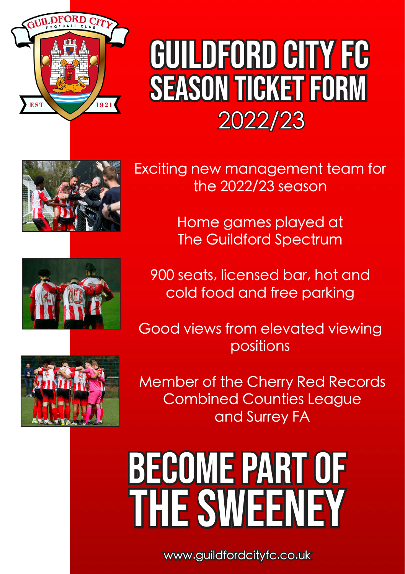

## season ticket form GUILDFORD CITY FC 2022/23





Exciting new management team for the 2022/23 season

> Home games played at The Guildford Spectrum

900 seats, licensed bar, hot and cold food and free parking

Good views from elevated viewing positions

Member of the Cherry Red Records Combined Counties League and Surrey FA

BECOME PART OF **THE SWEENEY** 

www.guildfordcityfc.co.uk